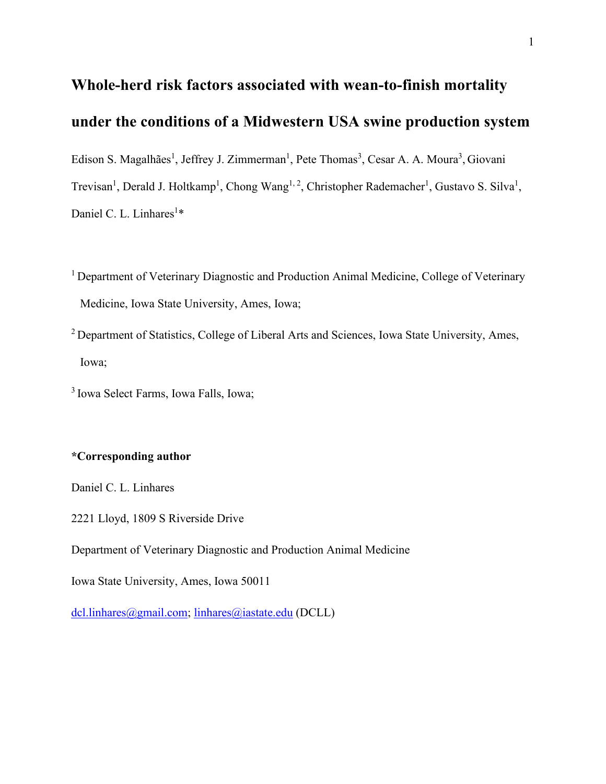# **Whole-herd risk factors associated with wean-to-finish mortality under the conditions of a Midwestern USA swine production system**

Edison S. Magalhães<sup>1</sup>, Jeffrey J. Zimmerman<sup>1</sup>, Pete Thomas<sup>3</sup>, Cesar A. A. Moura<sup>3</sup>, Giovani

Trevisan<sup>1</sup>, Derald J. Holtkamp<sup>1</sup>, Chong Wang<sup>1, 2</sup>, Christopher Rademacher<sup>1</sup>, Gustavo S. Silva<sup>1</sup>, Daniel C. L. Linhares<sup>1</sup>\*

- <sup>1</sup> Department of Veterinary Diagnostic and Production Animal Medicine, College of Veterinary Medicine, Iowa State University, Ames, Iowa;
- <sup>2</sup> Department of Statistics, College of Liberal Arts and Sciences, Iowa State University, Ames, Iowa;
- 3 Iowa Select Farms, Iowa Falls, Iowa;

## **\*Corresponding author**

Daniel C. L. Linhares

2221 Lloyd, 1809 S Riverside Drive

Department of Veterinary Diagnostic and Production Animal Medicine

Iowa State University, Ames, Iowa 50011

[dcl.linhares@gmail.com;](mailto:dcl.linhares@gmail.com) [linhares@iastate.edu](mailto:linhares@iastate.edu) (DCLL)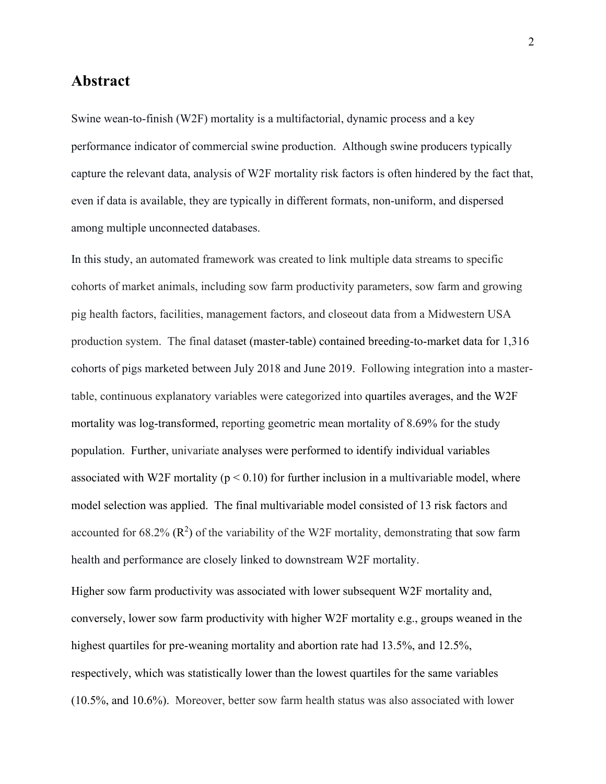# **Abstract**

Swine wean-to-finish (W2F) mortality is a multifactorial, dynamic process and a key performance indicator of commercial swine production. Although swine producers typically capture the relevant data, analysis of W2F mortality risk factors is often hindered by the fact that, even if data is available, they are typically in different formats, non-uniform, and dispersed among multiple unconnected databases.

In this study, an automated framework was created to link multiple data streams to specific cohorts of market animals, including sow farm productivity parameters, sow farm and growing pig health factors, facilities, management factors, and closeout data from a Midwestern USA production system. The final dataset (master-table) contained breeding-to-market data for 1,316 cohorts of pigs marketed between July 2018 and June 2019. Following integration into a mastertable, continuous explanatory variables were categorized into quartiles averages, and the W2F mortality was log-transformed, reporting geometric mean mortality of 8.69% for the study population. Further, univariate analyses were performed to identify individual variables associated with W2F mortality ( $p < 0.10$ ) for further inclusion in a multivariable model, where model selection was applied. The final multivariable model consisted of 13 risk factors and accounted for 68.2%  $(R^2)$  of the variability of the W2F mortality, demonstrating that sow farm health and performance are closely linked to downstream W2F mortality.

Higher sow farm productivity was associated with lower subsequent W2F mortality and, conversely, lower sow farm productivity with higher W2F mortality e.g., groups weaned in the highest quartiles for pre-weaning mortality and abortion rate had 13.5%, and 12.5%, respectively, which was statistically lower than the lowest quartiles for the same variables (10.5%, and 10.6%). Moreover, better sow farm health status was also associated with lower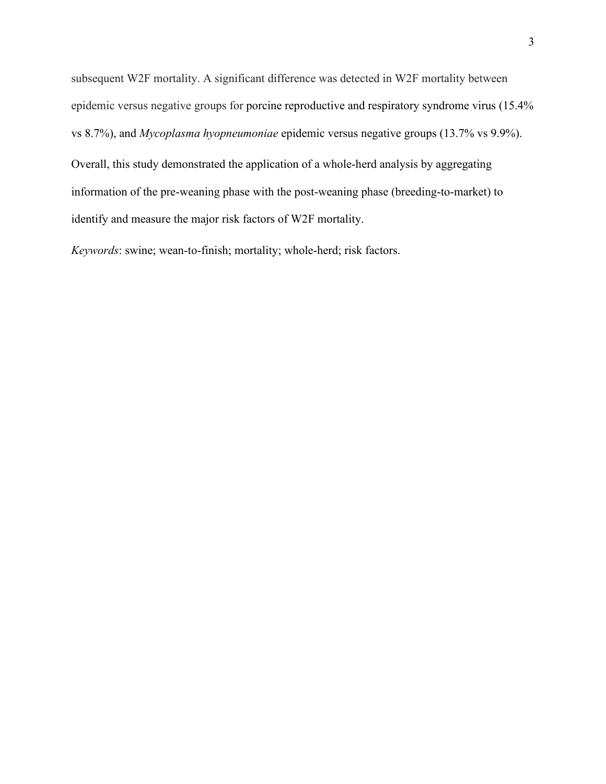subsequent W2F mortality. A significant difference was detected in W2F mortality between epidemic versus negative groups for porcine reproductive and respiratory syndrome virus (15.4% vs 8.7%), and *Mycoplasma hyopneumoniae* epidemic versus negative groups (13.7% vs 9.9%).

Overall, this study demonstrated the application of a whole-herd analysis by aggregating information of the pre-weaning phase with the post-weaning phase (breeding-to-market) to identify and measure the major risk factors of W2F mortality.

*Keywords*: swine; wean-to-finish; mortality; whole-herd; risk factors.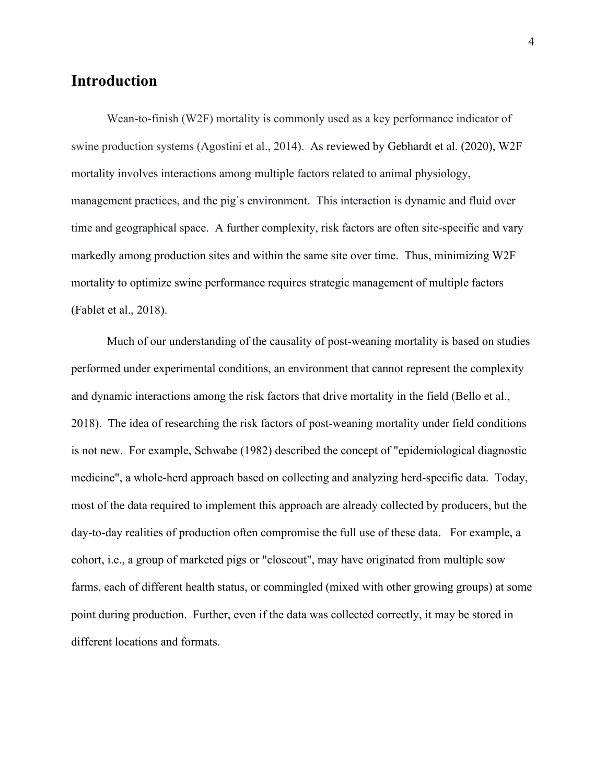# **Introduction**

Wean-to-finish (W2F) mortality is commonly used as a key performance indicator of swine production systems (Agostini et al., 2014). As reviewed by Gebhardt et al. (2020), W2F mortality involves interactions among multiple factors related to animal physiology, management practices, and the pig`s environment. This interaction is dynamic and fluid over time and geographical space. A further complexity, risk factors are often site-specific and vary markedly among production sites and within the same site over time. Thus, minimizing W2F mortality to optimize swine performance requires strategic management of multiple factors (Fablet et al., 2018).

Much of our understanding of the causality of post-weaning mortality is based on studies performed under experimental conditions, an environment that cannot represent the complexity and dynamic interactions among the risk factors that drive mortality in the field (Bello et al., 2018). The idea of researching the risk factors of post-weaning mortality under field conditions is not new. For example, Schwabe (1982) described the concept of "epidemiological diagnostic medicine", a whole-herd approach based on collecting and analyzing herd-specific data. Today, most of the data required to implement this approach are already collected by producers, but the day-to-day realities of production often compromise the full use of these data. For example, a cohort, i.e., a group of marketed pigs or "closeout", may have originated from multiple sow farms, each of different health status, or commingled (mixed with other growing groups) at some point during production. Further, even if the data was collected correctly, it may be stored in different locations and formats.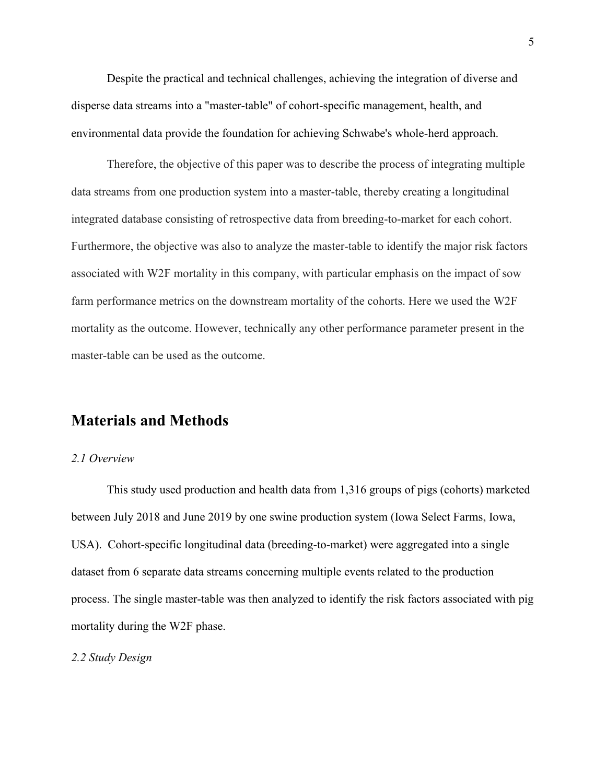Despite the practical and technical challenges, achieving the integration of diverse and disperse data streams into a "master-table" of cohort-specific management, health, and environmental data provide the foundation for achieving Schwabe's whole-herd approach.

Therefore, the objective of this paper was to describe the process of integrating multiple data streams from one production system into a master-table, thereby creating a longitudinal integrated database consisting of retrospective data from breeding-to-market for each cohort. Furthermore, the objective was also to analyze the master-table to identify the major risk factors associated with W2F mortality in this company, with particular emphasis on the impact of sow farm performance metrics on the downstream mortality of the cohorts. Here we used the W2F mortality as the outcome. However, technically any other performance parameter present in the master-table can be used as the outcome.

# **Materials and Methods**

#### *2.1 Overview*

This study used production and health data from 1,316 groups of pigs (cohorts) marketed between July 2018 and June 2019 by one swine production system (Iowa Select Farms, Iowa, USA). Cohort-specific longitudinal data (breeding-to-market) were aggregated into a single dataset from 6 separate data streams concerning multiple events related to the production process. The single master-table was then analyzed to identify the risk factors associated with pig mortality during the W2F phase.

#### *2.2 Study Design*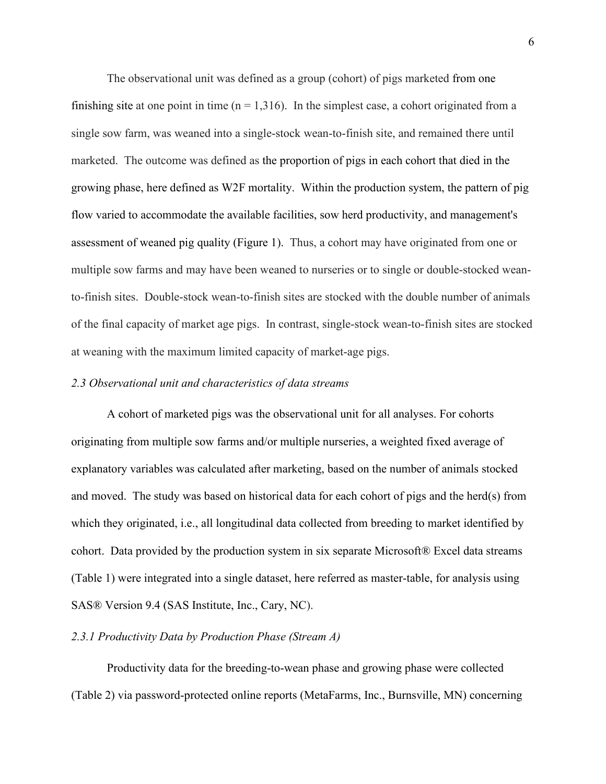The observational unit was defined as a group (cohort) of pigs marketed from one finishing site at one point in time  $(n = 1,316)$ . In the simplest case, a cohort originated from a single sow farm, was weaned into a single-stock wean-to-finish site, and remained there until marketed. The outcome was defined as the proportion of pigs in each cohort that died in the growing phase, here defined as W2F mortality. Within the production system, the pattern of pig flow varied to accommodate the available facilities, sow herd productivity, and management's assessment of weaned pig quality (Figure 1). Thus, a cohort may have originated from one or multiple sow farms and may have been weaned to nurseries or to single or double-stocked weanto-finish sites. Double-stock wean-to-finish sites are stocked with the double number of animals of the final capacity of market age pigs. In contrast, single-stock wean-to-finish sites are stocked at weaning with the maximum limited capacity of market-age pigs.

#### *2.3 Observational unit and characteristics of data streams*

A cohort of marketed pigs was the observational unit for all analyses. For cohorts originating from multiple sow farms and/or multiple nurseries, a weighted fixed average of explanatory variables was calculated after marketing, based on the number of animals stocked and moved. The study was based on historical data for each cohort of pigs and the herd(s) from which they originated, i.e., all longitudinal data collected from breeding to market identified by cohort. Data provided by the production system in six separate Microsoft® Excel data streams (Table 1) were integrated into a single dataset, here referred as master-table, for analysis using SAS® Version 9.4 (SAS Institute, Inc., Cary, NC).

## *2.3.1 Productivity Data by Production Phase (Stream A)*

Productivity data for the breeding-to-wean phase and growing phase were collected (Table 2) via password-protected online reports (MetaFarms, Inc., Burnsville, MN) concerning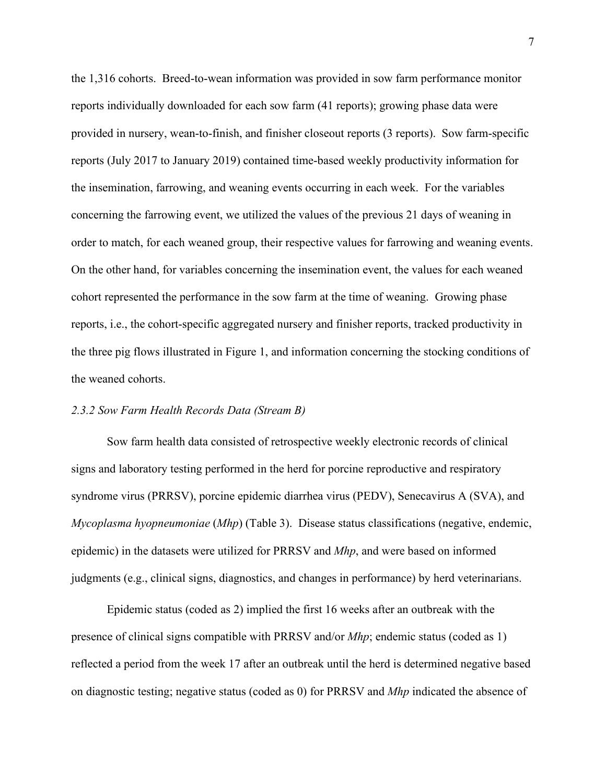the 1,316 cohorts. Breed-to-wean information was provided in sow farm performance monitor reports individually downloaded for each sow farm (41 reports); growing phase data were provided in nursery, wean-to-finish, and finisher closeout reports (3 reports). Sow farm-specific reports (July 2017 to January 2019) contained time-based weekly productivity information for the insemination, farrowing, and weaning events occurring in each week. For the variables concerning the farrowing event, we utilized the values of the previous 21 days of weaning in order to match, for each weaned group, their respective values for farrowing and weaning events. On the other hand, for variables concerning the insemination event, the values for each weaned cohort represented the performance in the sow farm at the time of weaning. Growing phase reports, i.e., the cohort-specific aggregated nursery and finisher reports, tracked productivity in the three pig flows illustrated in Figure 1, and information concerning the stocking conditions of the weaned cohorts.

### *2.3.2 Sow Farm Health Records Data (Stream B)*

Sow farm health data consisted of retrospective weekly electronic records of clinical signs and laboratory testing performed in the herd for porcine reproductive and respiratory syndrome virus (PRRSV), porcine epidemic diarrhea virus (PEDV), Senecavirus A (SVA), and *Mycoplasma hyopneumoniae* (*Mhp*) (Table 3). Disease status classifications (negative, endemic, epidemic) in the datasets were utilized for PRRSV and *Mhp*, and were based on informed judgments (e.g., clinical signs, diagnostics, and changes in performance) by herd veterinarians.

Epidemic status (coded as 2) implied the first 16 weeks after an outbreak with the presence of clinical signs compatible with PRRSV and/or *Mhp*; endemic status (coded as 1) reflected a period from the week 17 after an outbreak until the herd is determined negative based on diagnostic testing; negative status (coded as 0) for PRRSV and *Mhp* indicated the absence of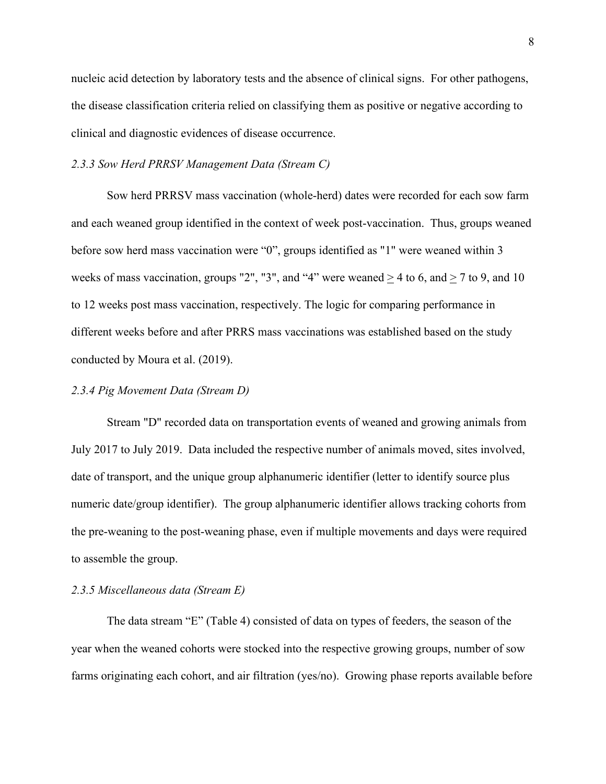nucleic acid detection by laboratory tests and the absence of clinical signs. For other pathogens, the disease classification criteria relied on classifying them as positive or negative according to clinical and diagnostic evidences of disease occurrence.

#### *2.3.3 Sow Herd PRRSV Management Data (Stream C)*

Sow herd PRRSV mass vaccination (whole-herd) dates were recorded for each sow farm and each weaned group identified in the context of week post-vaccination. Thus, groups weaned before sow herd mass vaccination were "0", groups identified as "1" were weaned within 3 weeks of mass vaccination, groups "2", "3", and "4" were weaned  $> 4$  to 6, and  $> 7$  to 9, and 10 to 12 weeks post mass vaccination, respectively. The logic for comparing performance in different weeks before and after PRRS mass vaccinations was established based on the study conducted by Moura et al. (2019).

#### *2.3.4 Pig Movement Data (Stream D)*

Stream "D" recorded data on transportation events of weaned and growing animals from July 2017 to July 2019. Data included the respective number of animals moved, sites involved, date of transport, and the unique group alphanumeric identifier (letter to identify source plus numeric date/group identifier). The group alphanumeric identifier allows tracking cohorts from the pre-weaning to the post-weaning phase, even if multiple movements and days were required to assemble the group.

### *2.3.5 Miscellaneous data (Stream E)*

The data stream "E" (Table 4) consisted of data on types of feeders, the season of the year when the weaned cohorts were stocked into the respective growing groups, number of sow farms originating each cohort, and air filtration (yes/no). Growing phase reports available before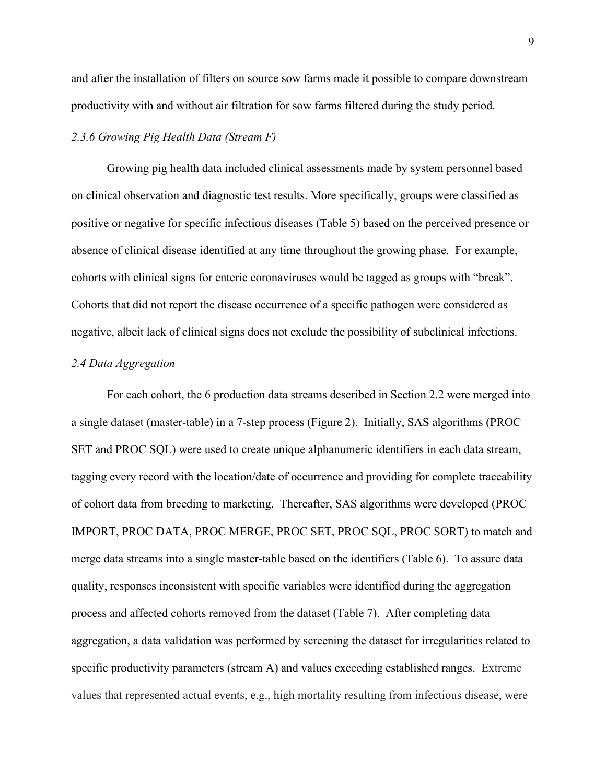and after the installation of filters on source sow farms made it possible to compare downstream productivity with and without air filtration for sow farms filtered during the study period.

## *2.3.6 Growing Pig Health Data (Stream F)*

Growing pig health data included clinical assessments made by system personnel based on clinical observation and diagnostic test results. More specifically, groups were classified as positive or negative for specific infectious diseases (Table 5) based on the perceived presence or absence of clinical disease identified at any time throughout the growing phase. For example, cohorts with clinical signs for enteric coronaviruses would be tagged as groups with "break". Cohorts that did not report the disease occurrence of a specific pathogen were considered as negative, albeit lack of clinical signs does not exclude the possibility of subclinical infections.

#### *2.4 Data Aggregation*

For each cohort, the 6 production data streams described in Section 2.2 were merged into a single dataset (master-table) in a 7-step process (Figure 2). Initially, SAS algorithms (PROC SET and PROC SQL) were used to create unique alphanumeric identifiers in each data stream, tagging every record with the location/date of occurrence and providing for complete traceability of cohort data from breeding to marketing. Thereafter, SAS algorithms were developed (PROC IMPORT, PROC DATA, PROC MERGE, PROC SET, PROC SQL, PROC SORT) to match and merge data streams into a single master-table based on the identifiers (Table 6). To assure data quality, responses inconsistent with specific variables were identified during the aggregation process and affected cohorts removed from the dataset (Table 7). After completing data aggregation, a data validation was performed by screening the dataset for irregularities related to specific productivity parameters (stream A) and values exceeding established ranges. Extreme values that represented actual events, e.g., high mortality resulting from infectious disease, were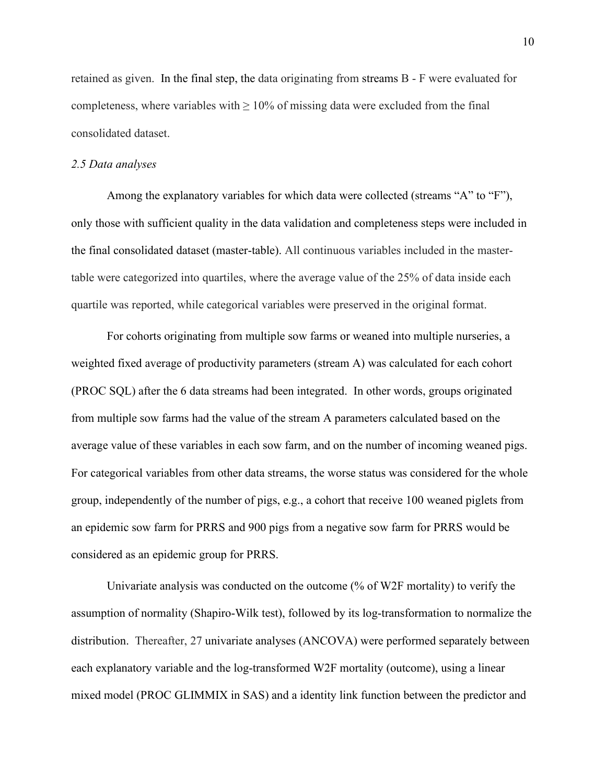retained as given. In the final step, the data originating from streams B - F were evaluated for completeness, where variables with  $\geq 10\%$  of missing data were excluded from the final consolidated dataset.

#### *2.5 Data analyses*

Among the explanatory variables for which data were collected (streams "A" to "F"), only those with sufficient quality in the data validation and completeness steps were included in the final consolidated dataset (master-table). All continuous variables included in the mastertable were categorized into quartiles, where the average value of the 25% of data inside each quartile was reported, while categorical variables were preserved in the original format.

For cohorts originating from multiple sow farms or weaned into multiple nurseries, a weighted fixed average of productivity parameters (stream A) was calculated for each cohort (PROC SQL) after the 6 data streams had been integrated. In other words, groups originated from multiple sow farms had the value of the stream A parameters calculated based on the average value of these variables in each sow farm, and on the number of incoming weaned pigs. For categorical variables from other data streams, the worse status was considered for the whole group, independently of the number of pigs, e.g., a cohort that receive 100 weaned piglets from an epidemic sow farm for PRRS and 900 pigs from a negative sow farm for PRRS would be considered as an epidemic group for PRRS.

Univariate analysis was conducted on the outcome (% of W2F mortality) to verify the assumption of normality (Shapiro-Wilk test), followed by its log-transformation to normalize the distribution. Thereafter, 27 univariate analyses (ANCOVA) were performed separately between each explanatory variable and the log-transformed W2F mortality (outcome), using a linear mixed model (PROC GLIMMIX in SAS) and a identity link function between the predictor and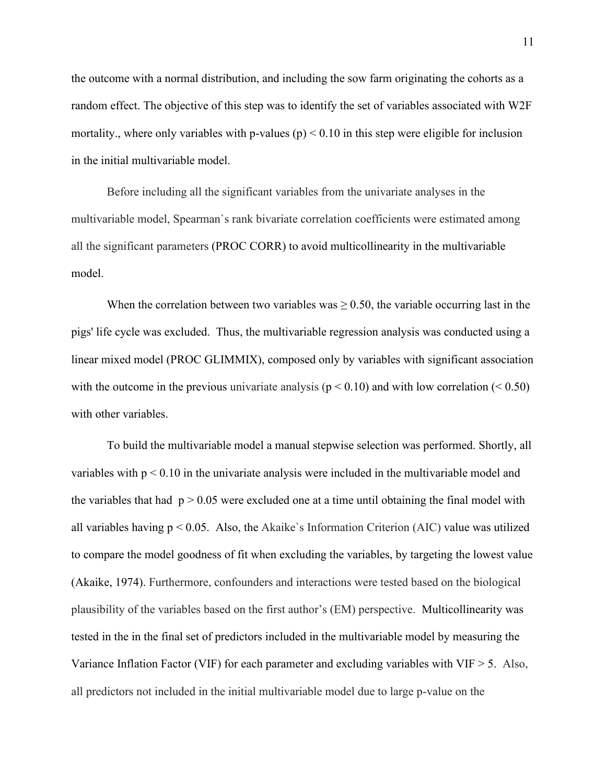the outcome with a normal distribution, and including the sow farm originating the cohorts as a random effect. The objective of this step was to identify the set of variables associated with W2F mortality, where only variables with p-values  $(p) < 0.10$  in this step were eligible for inclusion in the initial multivariable model.

Before including all the significant variables from the univariate analyses in the multivariable model, Spearman`s rank bivariate correlation coefficients were estimated among all the significant parameters (PROC CORR) to avoid multicollinearity in the multivariable model.

When the correlation between two variables was  $\geq$  0.50, the variable occurring last in the pigs' life cycle was excluded. Thus, the multivariable regression analysis was conducted using a linear mixed model (PROC GLIMMIX), composed only by variables with significant association with the outcome in the previous univariate analysis ( $p < 0.10$ ) and with low correlation ( $< 0.50$ ) with other variables.

To build the multivariable model a manual stepwise selection was performed. Shortly, all variables with  $p < 0.10$  in the univariate analysis were included in the multivariable model and the variables that had  $p > 0.05$  were excluded one at a time until obtaining the final model with all variables having  $p < 0.05$ . Also, the Akaike's Information Criterion (AIC) value was utilized to compare the model goodness of fit when excluding the variables, by targeting the lowest value (Akaike, 1974). Furthermore, confounders and interactions were tested based on the biological plausibility of the variables based on the first author's (EM) perspective. Multicollinearity was tested in the in the final set of predictors included in the multivariable model by measuring the Variance Inflation Factor (VIF) for each parameter and excluding variables with VIF  $> 5$ . Also, all predictors not included in the initial multivariable model due to large p-value on the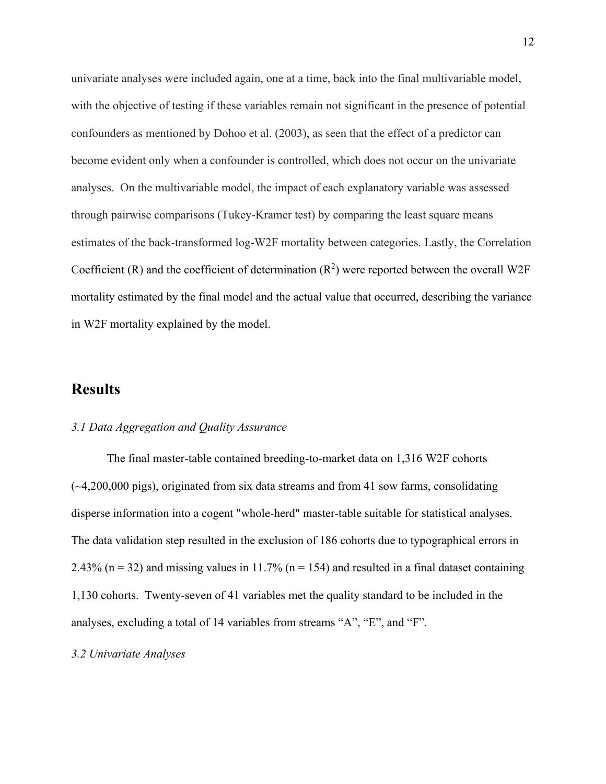univariate analyses were included again, one at a time, back into the final multivariable model, with the objective of testing if these variables remain not significant in the presence of potential confounders as mentioned by Dohoo et al. (2003), as seen that the effect of a predictor can become evident only when a confounder is controlled, which does not occur on the univariate analyses. On the multivariable model, the impact of each explanatory variable was assessed through pairwise comparisons (Tukey-Kramer test) by comparing the least square means estimates of the back-transformed log-W2F mortality between categories. Lastly, the Correlation Coefficient (R) and the coefficient of determination  $(R^2)$  were reported between the overall W2F mortality estimated by the final model and the actual value that occurred, describing the variance in W2F mortality explained by the model.

# **Results**

### *3.1 Data Aggregation and Quality Assurance*

The final master-table contained breeding-to-market data on 1,316 W2F cohorts  $(-4,200,000 \text{ pigs})$ , originated from six data streams and from 41 sow farms, consolidating disperse information into a cogent "whole-herd" master-table suitable for statistical analyses. The data validation step resulted in the exclusion of 186 cohorts due to typographical errors in 2.43% ( $n = 32$ ) and missing values in 11.7% ( $n = 154$ ) and resulted in a final dataset containing 1,130 cohorts. Twenty-seven of 41 variables met the quality standard to be included in the analyses, excluding a total of 14 variables from streams "A", "E", and "F".

#### *3.2 Univariate Analyses*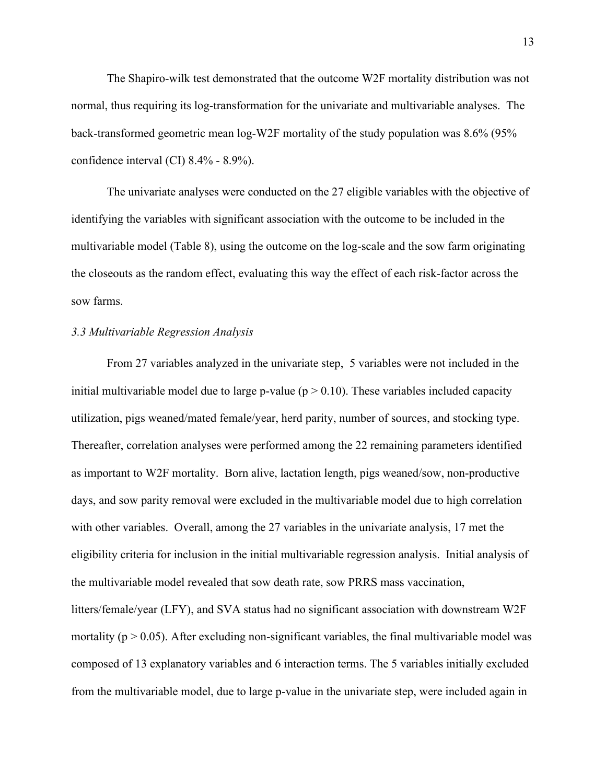The Shapiro-wilk test demonstrated that the outcome W2F mortality distribution was not normal, thus requiring its log-transformation for the univariate and multivariable analyses. The back-transformed geometric mean log-W2F mortality of the study population was 8.6% (95% confidence interval (CI) 8.4% - 8.9%).

The univariate analyses were conducted on the 27 eligible variables with the objective of identifying the variables with significant association with the outcome to be included in the multivariable model (Table 8), using the outcome on the log-scale and the sow farm originating the closeouts as the random effect, evaluating this way the effect of each risk-factor across the sow farms.

### *3.3 Multivariable Regression Analysis*

From 27 variables analyzed in the univariate step, 5 variables were not included in the initial multivariable model due to large p-value ( $p > 0.10$ ). These variables included capacity utilization, pigs weaned/mated female/year, herd parity, number of sources, and stocking type. Thereafter, correlation analyses were performed among the 22 remaining parameters identified as important to W2F mortality. Born alive, lactation length, pigs weaned/sow, non-productive days, and sow parity removal were excluded in the multivariable model due to high correlation with other variables. Overall, among the 27 variables in the univariate analysis, 17 met the eligibility criteria for inclusion in the initial multivariable regression analysis. Initial analysis of the multivariable model revealed that sow death rate, sow PRRS mass vaccination, litters/female/year (LFY), and SVA status had no significant association with downstream W2F mortality ( $p > 0.05$ ). After excluding non-significant variables, the final multivariable model was composed of 13 explanatory variables and 6 interaction terms. The 5 variables initially excluded from the multivariable model, due to large p-value in the univariate step, were included again in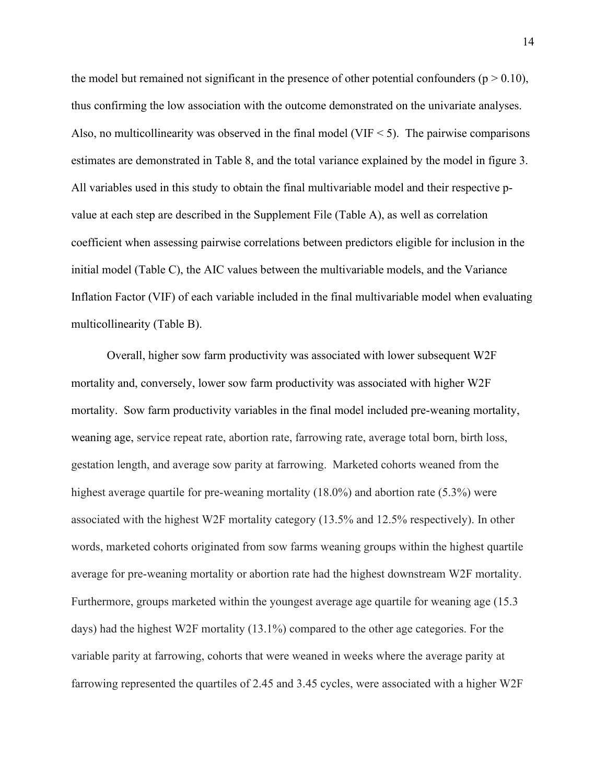the model but remained not significant in the presence of other potential confounders ( $p > 0.10$ ), thus confirming the low association with the outcome demonstrated on the univariate analyses. Also, no multicollinearity was observed in the final model (VIF  $\leq$  5). The pairwise comparisons estimates are demonstrated in Table 8, and the total variance explained by the model in figure 3. All variables used in this study to obtain the final multivariable model and their respective pvalue at each step are described in the Supplement File (Table A), as well as correlation coefficient when assessing pairwise correlations between predictors eligible for inclusion in the initial model (Table C), the AIC values between the multivariable models, and the Variance Inflation Factor (VIF) of each variable included in the final multivariable model when evaluating multicollinearity (Table B).

Overall, higher sow farm productivity was associated with lower subsequent W2F mortality and, conversely, lower sow farm productivity was associated with higher W2F mortality. Sow farm productivity variables in the final model included pre-weaning mortality, weaning age, service repeat rate, abortion rate, farrowing rate, average total born, birth loss, gestation length, and average sow parity at farrowing. Marketed cohorts weaned from the highest average quartile for pre-weaning mortality (18.0%) and abortion rate (5.3%) were associated with the highest W2F mortality category (13.5% and 12.5% respectively). In other words, marketed cohorts originated from sow farms weaning groups within the highest quartile average for pre-weaning mortality or abortion rate had the highest downstream W2F mortality. Furthermore, groups marketed within the youngest average age quartile for weaning age (15.3 days) had the highest W2F mortality (13.1%) compared to the other age categories. For the variable parity at farrowing, cohorts that were weaned in weeks where the average parity at farrowing represented the quartiles of 2.45 and 3.45 cycles, were associated with a higher W2F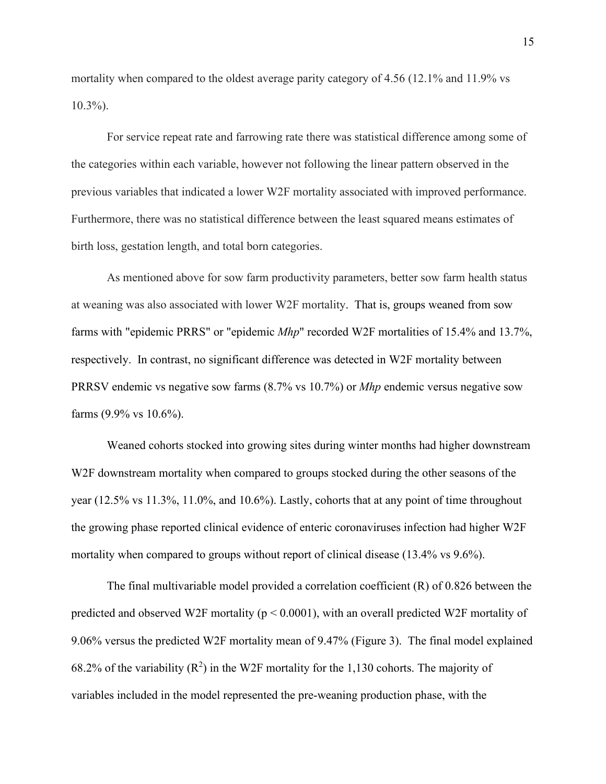mortality when compared to the oldest average parity category of 4.56 (12.1% and 11.9% vs 10.3%).

For service repeat rate and farrowing rate there was statistical difference among some of the categories within each variable, however not following the linear pattern observed in the previous variables that indicated a lower W2F mortality associated with improved performance. Furthermore, there was no statistical difference between the least squared means estimates of birth loss, gestation length, and total born categories.

As mentioned above for sow farm productivity parameters, better sow farm health status at weaning was also associated with lower W2F mortality. That is, groups weaned from sow farms with "epidemic PRRS" or "epidemic *Mhp*" recorded W2F mortalities of 15.4% and 13.7%, respectively. In contrast, no significant difference was detected in W2F mortality between PRRSV endemic vs negative sow farms (8.7% vs 10.7%) or *Mhp* endemic versus negative sow farms (9.9% vs 10.6%).

Weaned cohorts stocked into growing sites during winter months had higher downstream W2F downstream mortality when compared to groups stocked during the other seasons of the year (12.5% vs 11.3%, 11.0%, and 10.6%). Lastly, cohorts that at any point of time throughout the growing phase reported clinical evidence of enteric coronaviruses infection had higher W2F mortality when compared to groups without report of clinical disease (13.4% vs 9.6%).

The final multivariable model provided a correlation coefficient (R) of 0.826 between the predicted and observed W2F mortality ( $p < 0.0001$ ), with an overall predicted W2F mortality of 9.06% versus the predicted W2F mortality mean of 9.47% (Figure 3). The final model explained 68.2% of the variability  $(R^2)$  in the W2F mortality for the 1,130 cohorts. The majority of variables included in the model represented the pre-weaning production phase, with the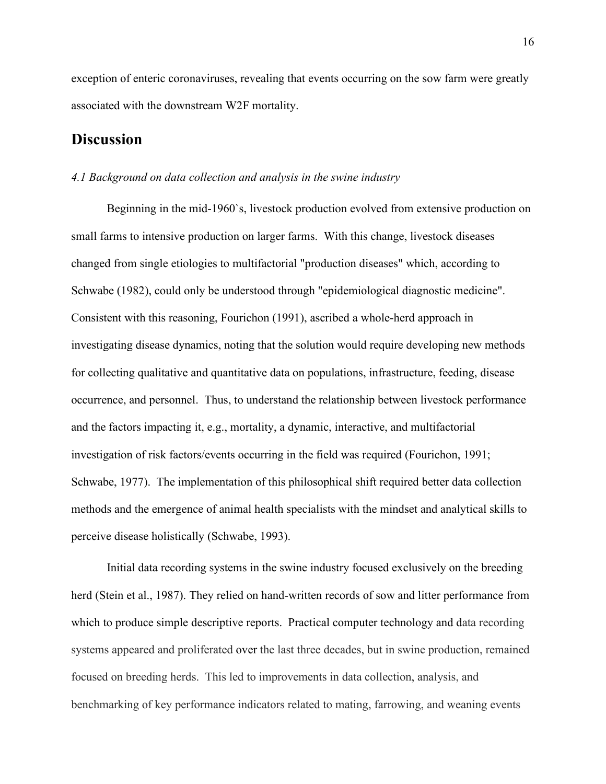exception of enteric coronaviruses, revealing that events occurring on the sow farm were greatly associated with the downstream W2F mortality.

# **Discussion**

#### *4.1 Background on data collection and analysis in the swine industry*

Beginning in the mid-1960`s, livestock production evolved from extensive production on small farms to intensive production on larger farms. With this change, livestock diseases changed from single etiologies to multifactorial "production diseases" which, according to Schwabe (1982), could only be understood through "epidemiological diagnostic medicine". Consistent with this reasoning, Fourichon (1991), ascribed a whole-herd approach in investigating disease dynamics, noting that the solution would require developing new methods for collecting qualitative and quantitative data on populations, infrastructure, feeding, disease occurrence, and personnel. Thus, to understand the relationship between livestock performance and the factors impacting it, e.g., mortality, a dynamic, interactive, and multifactorial investigation of risk factors/events occurring in the field was required (Fourichon, 1991; Schwabe, 1977). The implementation of this philosophical shift required better data collection methods and the emergence of animal health specialists with the mindset and analytical skills to perceive disease holistically (Schwabe, 1993).

Initial data recording systems in the swine industry focused exclusively on the breeding herd (Stein et al., 1987). They relied on hand-written records of sow and litter performance from which to produce simple descriptive reports. Practical computer technology and data recording systems appeared and proliferated over the last three decades, but in swine production, remained focused on breeding herds. This led to improvements in data collection, analysis, and benchmarking of key performance indicators related to mating, farrowing, and weaning events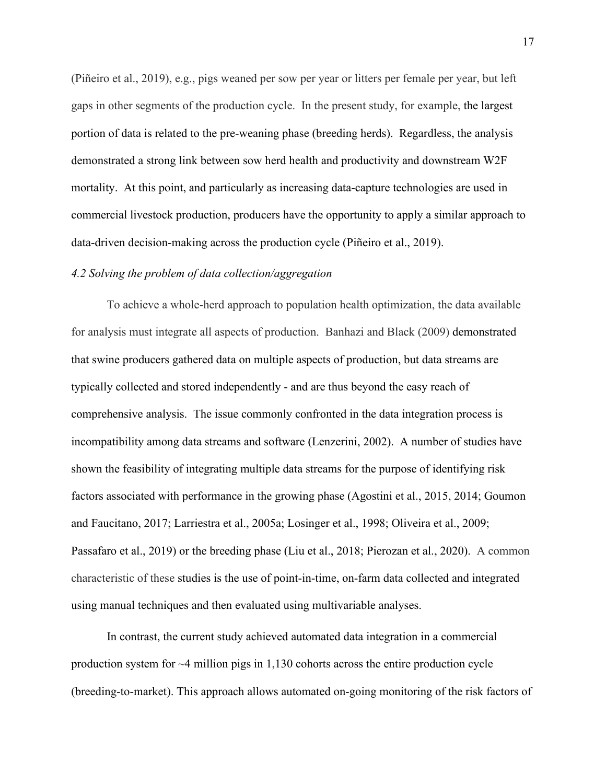(Piñeiro et al., 2019), e.g., pigs weaned per sow per year or litters per female per year, but left gaps in other segments of the production cycle. In the present study, for example, the largest portion of data is related to the pre-weaning phase (breeding herds). Regardless, the analysis demonstrated a strong link between sow herd health and productivity and downstream W2F mortality. At this point, and particularly as increasing data-capture technologies are used in commercial livestock production, producers have the opportunity to apply a similar approach to data-driven decision-making across the production cycle (Piñeiro et al., 2019).

### *4.2 Solving the problem of data collection/aggregation*

To achieve a whole-herd approach to population health optimization, the data available for analysis must integrate all aspects of production. Banhazi and Black (2009) demonstrated that swine producers gathered data on multiple aspects of production, but data streams are typically collected and stored independently - and are thus beyond the easy reach of comprehensive analysis. The issue commonly confronted in the data integration process is incompatibility among data streams and software (Lenzerini, 2002). A number of studies have shown the feasibility of integrating multiple data streams for the purpose of identifying risk factors associated with performance in the growing phase (Agostini et al., 2015, 2014; Goumon and Faucitano, 2017; Larriestra et al., 2005a; Losinger et al., 1998; Oliveira et al., 2009; Passafaro et al., 2019) or the breeding phase (Liu et al., 2018; Pierozan et al., 2020). A common characteristic of these studies is the use of point-in-time, on-farm data collected and integrated using manual techniques and then evaluated using multivariable analyses.

In contrast, the current study achieved automated data integration in a commercial production system for  $\sim$ 4 million pigs in 1,130 cohorts across the entire production cycle (breeding-to-market). This approach allows automated on-going monitoring of the risk factors of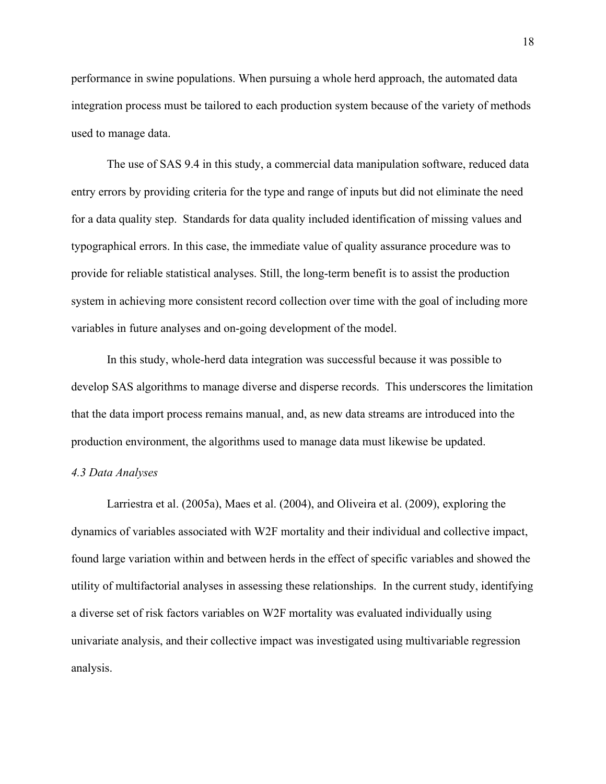performance in swine populations. When pursuing a whole herd approach, the automated data integration process must be tailored to each production system because of the variety of methods used to manage data.

The use of SAS 9.4 in this study, a commercial data manipulation software, reduced data entry errors by providing criteria for the type and range of inputs but did not eliminate the need for a data quality step. Standards for data quality included identification of missing values and typographical errors. In this case, the immediate value of quality assurance procedure was to provide for reliable statistical analyses. Still, the long-term benefit is to assist the production system in achieving more consistent record collection over time with the goal of including more variables in future analyses and on-going development of the model.

In this study, whole-herd data integration was successful because it was possible to develop SAS algorithms to manage diverse and disperse records. This underscores the limitation that the data import process remains manual, and, as new data streams are introduced into the production environment, the algorithms used to manage data must likewise be updated.

#### *4.3 Data Analyses*

Larriestra et al. (2005a), Maes et al. (2004), and Oliveira et al. (2009), exploring the dynamics of variables associated with W2F mortality and their individual and collective impact, found large variation within and between herds in the effect of specific variables and showed the utility of multifactorial analyses in assessing these relationships. In the current study, identifying a diverse set of risk factors variables on W2F mortality was evaluated individually using univariate analysis, and their collective impact was investigated using multivariable regression analysis.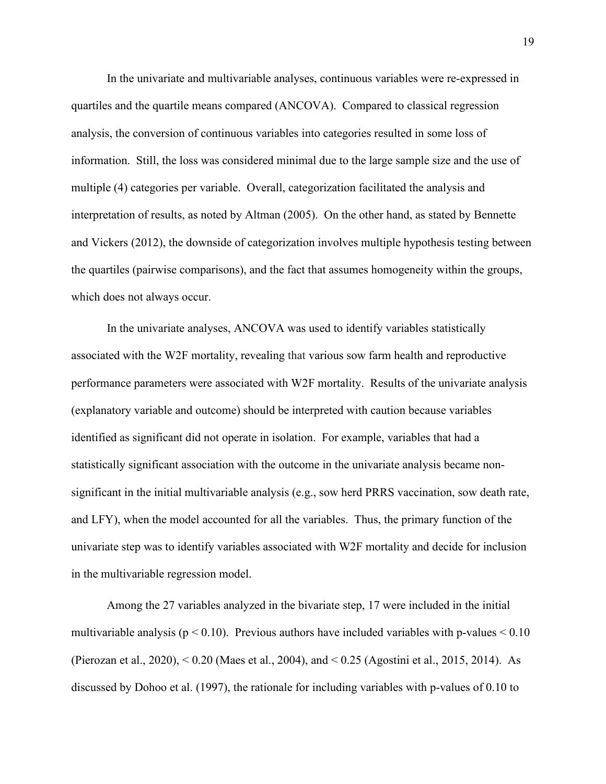In the univariate and multivariable analyses, continuous variables were re-expressed in quartiles and the quartile means compared (ANCOVA). Compared to classical regression analysis, the conversion of continuous variables into categories resulted in some loss of information. Still, the loss was considered minimal due to the large sample size and the use of multiple (4) categories per variable. Overall, categorization facilitated the analysis and interpretation of results, as noted by Altman (2005). On the other hand, as stated by Bennette and Vickers (2012), the downside of categorization involves multiple hypothesis testing between the quartiles (pairwise comparisons), and the fact that assumes homogeneity within the groups, which does not always occur.

In the univariate analyses, ANCOVA was used to identify variables statistically associated with the W2F mortality, revealing that various sow farm health and reproductive performance parameters were associated with W2F mortality. Results of the univariate analysis (explanatory variable and outcome) should be interpreted with caution because variables identified as significant did not operate in isolation. For example, variables that had a statistically significant association with the outcome in the univariate analysis became nonsignificant in the initial multivariable analysis (e.g., sow herd PRRS vaccination, sow death rate, and LFY), when the model accounted for all the variables. Thus, the primary function of the univariate step was to identify variables associated with W2F mortality and decide for inclusion in the multivariable regression model.

Among the 27 variables analyzed in the bivariate step, 17 were included in the initial multivariable analysis ( $p < 0.10$ ). Previous authors have included variables with p-values  $< 0.10$ (Pierozan et al., 2020), < 0.20 (Maes et al., 2004), and < 0.25 (Agostini et al., 2015, 2014). As discussed by Dohoo et al. (1997), the rationale for including variables with p-values of 0.10 to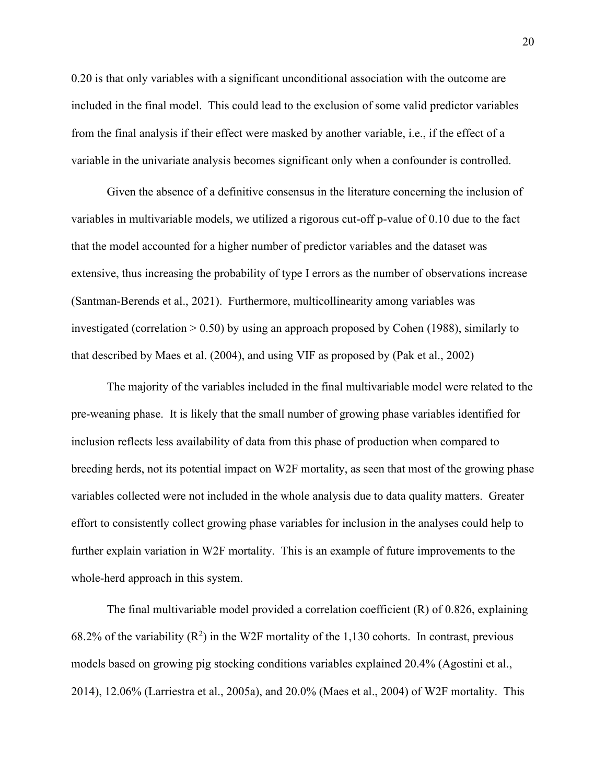0.20 is that only variables with a significant unconditional association with the outcome are included in the final model. This could lead to the exclusion of some valid predictor variables from the final analysis if their effect were masked by another variable, i.e., if the effect of a variable in the univariate analysis becomes significant only when a confounder is controlled.

Given the absence of a definitive consensus in the literature concerning the inclusion of variables in multivariable models, we utilized a rigorous cut-off p-value of 0.10 due to the fact that the model accounted for a higher number of predictor variables and the dataset was extensive, thus increasing the probability of type I errors as the number of observations increase (Santman-Berends et al., 2021). Furthermore, multicollinearity among variables was investigated (correlation > 0.50) by using an approach proposed by Cohen (1988), similarly to that described by Maes et al. (2004), and using VIF as proposed by (Pak et al., 2002)

The majority of the variables included in the final multivariable model were related to the pre-weaning phase. It is likely that the small number of growing phase variables identified for inclusion reflects less availability of data from this phase of production when compared to breeding herds, not its potential impact on W2F mortality, as seen that most of the growing phase variables collected were not included in the whole analysis due to data quality matters. Greater effort to consistently collect growing phase variables for inclusion in the analyses could help to further explain variation in W2F mortality. This is an example of future improvements to the whole-herd approach in this system.

The final multivariable model provided a correlation coefficient (R) of 0.826, explaining 68.2% of the variability  $(R^2)$  in the W2F mortality of the 1,130 cohorts. In contrast, previous models based on growing pig stocking conditions variables explained 20.4% (Agostini et al., 2014), 12.06% (Larriestra et al., 2005a), and 20.0% (Maes et al., 2004) of W2F mortality. This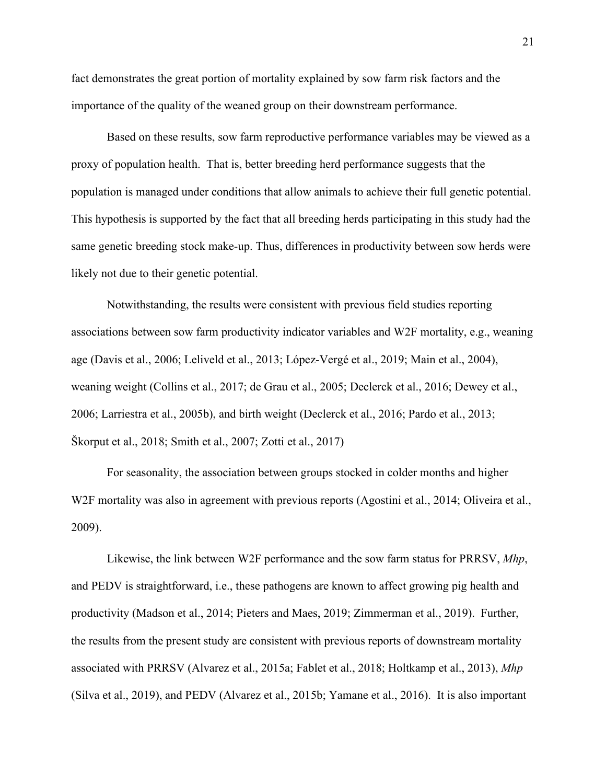fact demonstrates the great portion of mortality explained by sow farm risk factors and the importance of the quality of the weaned group on their downstream performance.

Based on these results, sow farm reproductive performance variables may be viewed as a proxy of population health. That is, better breeding herd performance suggests that the population is managed under conditions that allow animals to achieve their full genetic potential. This hypothesis is supported by the fact that all breeding herds participating in this study had the same genetic breeding stock make-up. Thus, differences in productivity between sow herds were likely not due to their genetic potential.

Notwithstanding, the results were consistent with previous field studies reporting associations between sow farm productivity indicator variables and W2F mortality, e.g., weaning age (Davis et al., 2006; Leliveld et al., 2013; López-Vergé et al., 2019; Main et al., 2004), weaning weight (Collins et al., 2017; de Grau et al., 2005; Declerck et al., 2016; Dewey et al., 2006; Larriestra et al., 2005b), and birth weight (Declerck et al., 2016; Pardo et al., 2013; Škorput et al., 2018; Smith et al., 2007; Zotti et al., 2017)

For seasonality, the association between groups stocked in colder months and higher W2F mortality was also in agreement with previous reports (Agostini et al., 2014; Oliveira et al., 2009).

Likewise, the link between W2F performance and the sow farm status for PRRSV, *Mhp*, and PEDV is straightforward, i.e., these pathogens are known to affect growing pig health and productivity (Madson et al., 2014; Pieters and Maes, 2019; Zimmerman et al., 2019). Further, the results from the present study are consistent with previous reports of downstream mortality associated with PRRSV (Alvarez et al., 2015a; Fablet et al., 2018; Holtkamp et al., 2013), *Mhp* (Silva et al., 2019), and PEDV (Alvarez et al., 2015b; Yamane et al., 2016). It is also important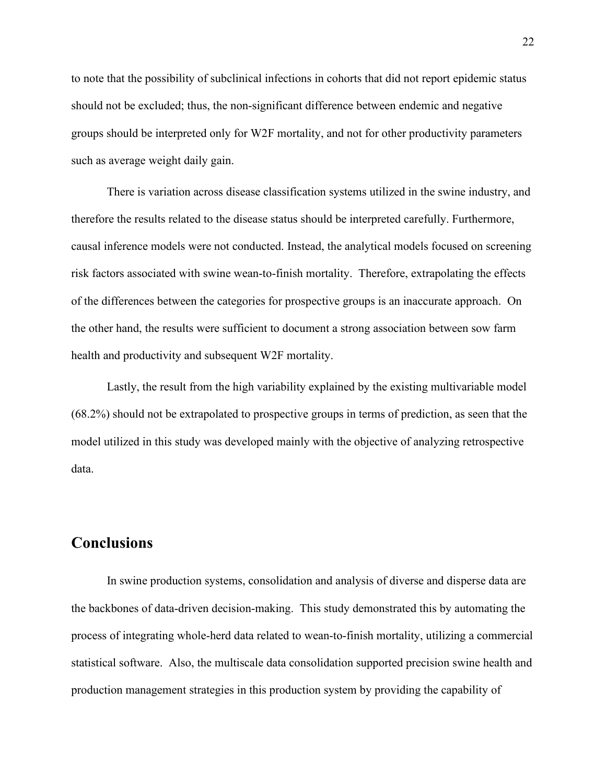to note that the possibility of subclinical infections in cohorts that did not report epidemic status should not be excluded; thus, the non-significant difference between endemic and negative groups should be interpreted only for W2F mortality, and not for other productivity parameters such as average weight daily gain.

There is variation across disease classification systems utilized in the swine industry, and therefore the results related to the disease status should be interpreted carefully. Furthermore, causal inference models were not conducted. Instead, the analytical models focused on screening risk factors associated with swine wean-to-finish mortality. Therefore, extrapolating the effects of the differences between the categories for prospective groups is an inaccurate approach. On the other hand, the results were sufficient to document a strong association between sow farm health and productivity and subsequent W2F mortality.

Lastly, the result from the high variability explained by the existing multivariable model (68.2%) should not be extrapolated to prospective groups in terms of prediction, as seen that the model utilized in this study was developed mainly with the objective of analyzing retrospective data.

# **Conclusions**

In swine production systems, consolidation and analysis of diverse and disperse data are the backbones of data-driven decision-making. This study demonstrated this by automating the process of integrating whole-herd data related to wean-to-finish mortality, utilizing a commercial statistical software. Also, the multiscale data consolidation supported precision swine health and production management strategies in this production system by providing the capability of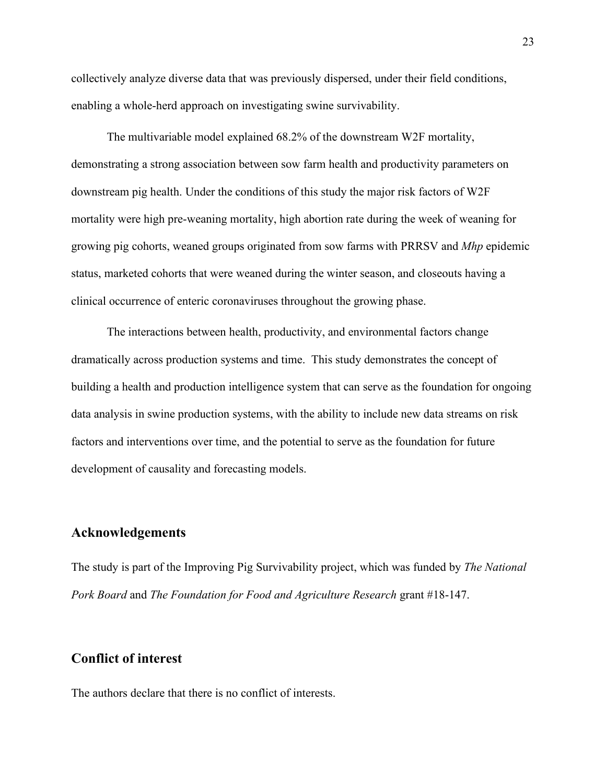collectively analyze diverse data that was previously dispersed, under their field conditions, enabling a whole-herd approach on investigating swine survivability.

The multivariable model explained 68.2% of the downstream W2F mortality, demonstrating a strong association between sow farm health and productivity parameters on downstream pig health. Under the conditions of this study the major risk factors of W2F mortality were high pre-weaning mortality, high abortion rate during the week of weaning for growing pig cohorts, weaned groups originated from sow farms with PRRSV and *Mhp* epidemic status, marketed cohorts that were weaned during the winter season, and closeouts having a clinical occurrence of enteric coronaviruses throughout the growing phase.

The interactions between health, productivity, and environmental factors change dramatically across production systems and time. This study demonstrates the concept of building a health and production intelligence system that can serve as the foundation for ongoing data analysis in swine production systems, with the ability to include new data streams on risk factors and interventions over time, and the potential to serve as the foundation for future development of causality and forecasting models.

### **Acknowledgements**

The study is part of the Improving Pig Survivability project, which was funded by *The National Pork Board* and *The Foundation for Food and Agriculture Research* grant #18-147.

# **Conflict of interest**

The authors declare that there is no conflict of interests.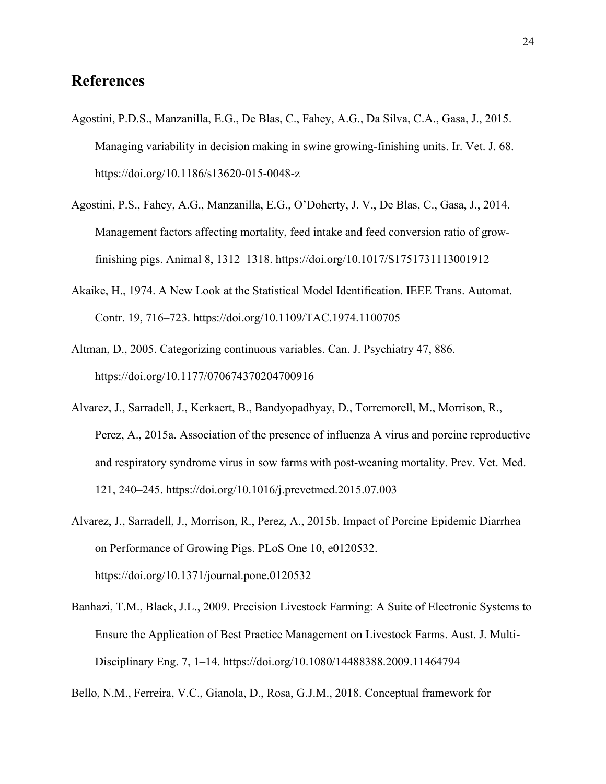# **References**

- Agostini, P.D.S., Manzanilla, E.G., De Blas, C., Fahey, A.G., Da Silva, C.A., Gasa, J., 2015. Managing variability in decision making in swine growing-finishing units. Ir. Vet. J. 68. https://doi.org/10.1186/s13620-015-0048-z
- Agostini, P.S., Fahey, A.G., Manzanilla, E.G., O'Doherty, J. V., De Blas, C., Gasa, J., 2014. Management factors affecting mortality, feed intake and feed conversion ratio of growfinishing pigs. Animal 8, 1312–1318. https://doi.org/10.1017/S1751731113001912
- Akaike, H., 1974. A New Look at the Statistical Model Identification. IEEE Trans. Automat. Contr. 19, 716–723. https://doi.org/10.1109/TAC.1974.1100705
- Altman, D., 2005. Categorizing continuous variables. Can. J. Psychiatry 47, 886. https://doi.org/10.1177/070674370204700916
- Alvarez, J., Sarradell, J., Kerkaert, B., Bandyopadhyay, D., Torremorell, M., Morrison, R., Perez, A., 2015a. Association of the presence of influenza A virus and porcine reproductive and respiratory syndrome virus in sow farms with post-weaning mortality. Prev. Vet. Med. 121, 240–245. https://doi.org/10.1016/j.prevetmed.2015.07.003
- Alvarez, J., Sarradell, J., Morrison, R., Perez, A., 2015b. Impact of Porcine Epidemic Diarrhea on Performance of Growing Pigs. PLoS One 10, e0120532. https://doi.org/10.1371/journal.pone.0120532
- Banhazi, T.M., Black, J.L., 2009. Precision Livestock Farming: A Suite of Electronic Systems to Ensure the Application of Best Practice Management on Livestock Farms. Aust. J. Multi-Disciplinary Eng. 7, 1–14. https://doi.org/10.1080/14488388.2009.11464794

Bello, N.M., Ferreira, V.C., Gianola, D., Rosa, G.J.M., 2018. Conceptual framework for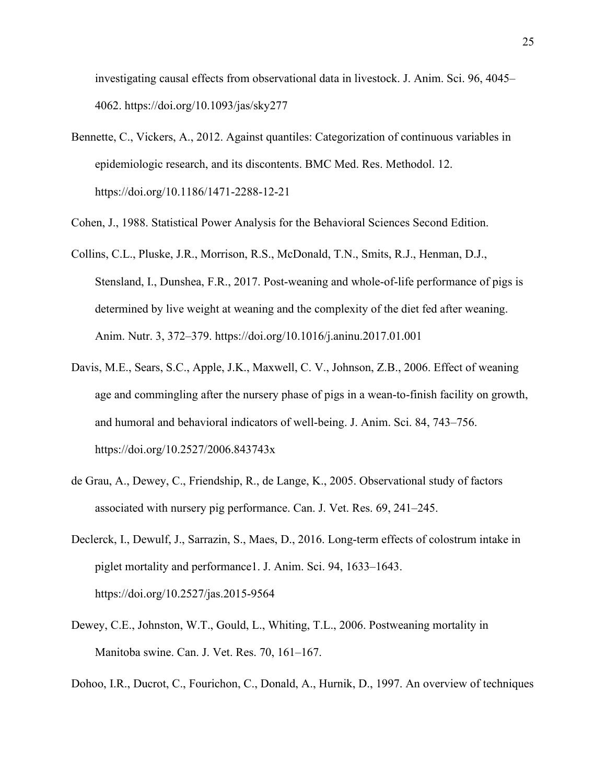investigating causal effects from observational data in livestock. J. Anim. Sci. 96, 4045– 4062. https://doi.org/10.1093/jas/sky277

- Bennette, C., Vickers, A., 2012. Against quantiles: Categorization of continuous variables in epidemiologic research, and its discontents. BMC Med. Res. Methodol. 12. https://doi.org/10.1186/1471-2288-12-21
- Cohen, J., 1988. Statistical Power Analysis for the Behavioral Sciences Second Edition.
- Collins, C.L., Pluske, J.R., Morrison, R.S., McDonald, T.N., Smits, R.J., Henman, D.J., Stensland, I., Dunshea, F.R., 2017. Post-weaning and whole-of-life performance of pigs is determined by live weight at weaning and the complexity of the diet fed after weaning. Anim. Nutr. 3, 372–379. https://doi.org/10.1016/j.aninu.2017.01.001
- Davis, M.E., Sears, S.C., Apple, J.K., Maxwell, C. V., Johnson, Z.B., 2006. Effect of weaning age and commingling after the nursery phase of pigs in a wean-to-finish facility on growth, and humoral and behavioral indicators of well-being. J. Anim. Sci. 84, 743–756. https://doi.org/10.2527/2006.843743x
- de Grau, A., Dewey, C., Friendship, R., de Lange, K., 2005. Observational study of factors associated with nursery pig performance. Can. J. Vet. Res. 69, 241–245.
- Declerck, I., Dewulf, J., Sarrazin, S., Maes, D., 2016. Long-term effects of colostrum intake in piglet mortality and performance1. J. Anim. Sci. 94, 1633–1643. https://doi.org/10.2527/jas.2015-9564
- Dewey, C.E., Johnston, W.T., Gould, L., Whiting, T.L., 2006. Postweaning mortality in Manitoba swine. Can. J. Vet. Res. 70, 161–167.
- Dohoo, I.R., Ducrot, C., Fourichon, C., Donald, A., Hurnik, D., 1997. An overview of techniques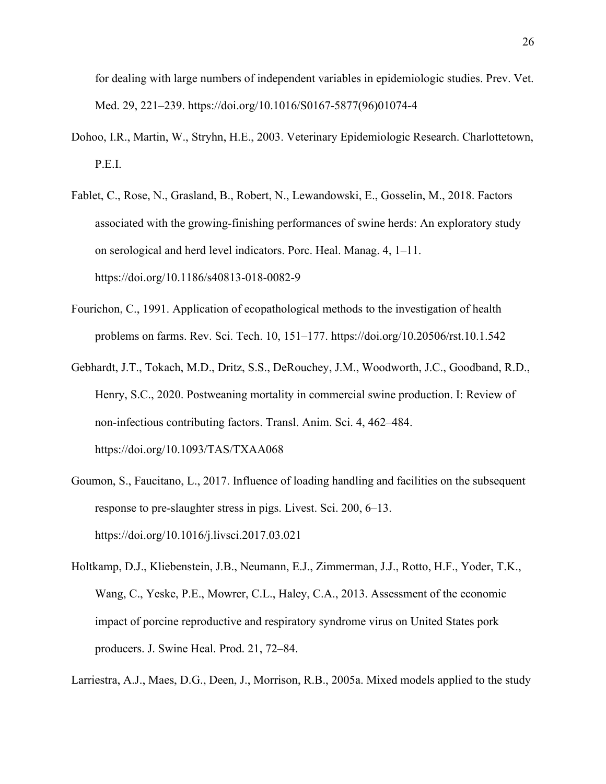for dealing with large numbers of independent variables in epidemiologic studies. Prev. Vet. Med. 29, 221–239. https://doi.org/10.1016/S0167-5877(96)01074-4

- Dohoo, I.R., Martin, W., Stryhn, H.E., 2003. Veterinary Epidemiologic Research. Charlottetown, P.E.I.
- Fablet, C., Rose, N., Grasland, B., Robert, N., Lewandowski, E., Gosselin, M., 2018. Factors associated with the growing-finishing performances of swine herds: An exploratory study on serological and herd level indicators. Porc. Heal. Manag. 4, 1–11. https://doi.org/10.1186/s40813-018-0082-9
- Fourichon, C., 1991. Application of ecopathological methods to the investigation of health problems on farms. Rev. Sci. Tech. 10, 151–177. https://doi.org/10.20506/rst.10.1.542
- Gebhardt, J.T., Tokach, M.D., Dritz, S.S., DeRouchey, J.M., Woodworth, J.C., Goodband, R.D., Henry, S.C., 2020. Postweaning mortality in commercial swine production. I: Review of non-infectious contributing factors. Transl. Anim. Sci. 4, 462–484. https://doi.org/10.1093/TAS/TXAA068
- Goumon, S., Faucitano, L., 2017. Influence of loading handling and facilities on the subsequent response to pre-slaughter stress in pigs. Livest. Sci. 200, 6–13. https://doi.org/10.1016/j.livsci.2017.03.021
- Holtkamp, D.J., Kliebenstein, J.B., Neumann, E.J., Zimmerman, J.J., Rotto, H.F., Yoder, T.K., Wang, C., Yeske, P.E., Mowrer, C.L., Haley, C.A., 2013. Assessment of the economic impact of porcine reproductive and respiratory syndrome virus on United States pork producers. J. Swine Heal. Prod. 21, 72–84.

Larriestra, A.J., Maes, D.G., Deen, J., Morrison, R.B., 2005a. Mixed models applied to the study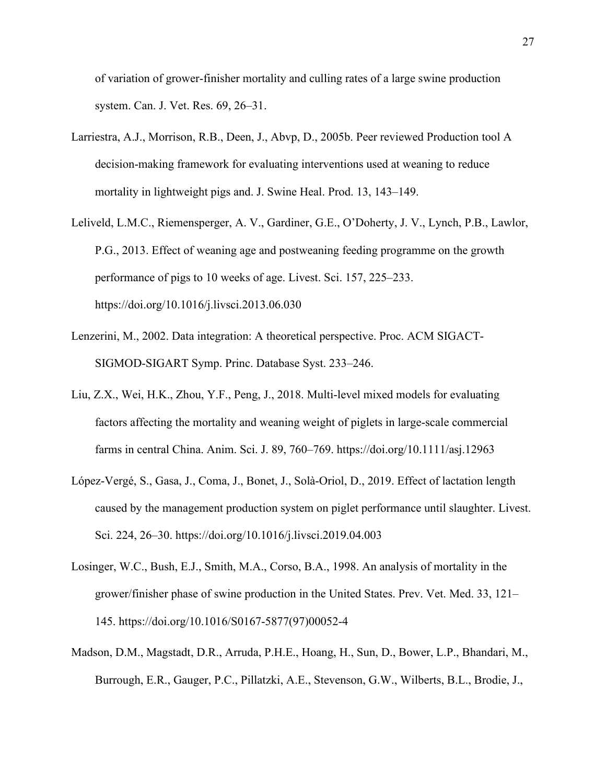of variation of grower-finisher mortality and culling rates of a large swine production system. Can. J. Vet. Res. 69, 26–31.

- Larriestra, A.J., Morrison, R.B., Deen, J., Abvp, D., 2005b. Peer reviewed Production tool A decision-making framework for evaluating interventions used at weaning to reduce mortality in lightweight pigs and. J. Swine Heal. Prod. 13, 143–149.
- Leliveld, L.M.C., Riemensperger, A. V., Gardiner, G.E., O'Doherty, J. V., Lynch, P.B., Lawlor, P.G., 2013. Effect of weaning age and postweaning feeding programme on the growth performance of pigs to 10 weeks of age. Livest. Sci. 157, 225–233. https://doi.org/10.1016/j.livsci.2013.06.030
- Lenzerini, M., 2002. Data integration: A theoretical perspective. Proc. ACM SIGACT-SIGMOD-SIGART Symp. Princ. Database Syst. 233–246.
- Liu, Z.X., Wei, H.K., Zhou, Y.F., Peng, J., 2018. Multi-level mixed models for evaluating factors affecting the mortality and weaning weight of piglets in large-scale commercial farms in central China. Anim. Sci. J. 89, 760–769. https://doi.org/10.1111/asj.12963
- López-Vergé, S., Gasa, J., Coma, J., Bonet, J., Solà-Oriol, D., 2019. Effect of lactation length caused by the management production system on piglet performance until slaughter. Livest. Sci. 224, 26–30. https://doi.org/10.1016/j.livsci.2019.04.003
- Losinger, W.C., Bush, E.J., Smith, M.A., Corso, B.A., 1998. An analysis of mortality in the grower/finisher phase of swine production in the United States. Prev. Vet. Med. 33, 121– 145. https://doi.org/10.1016/S0167-5877(97)00052-4
- Madson, D.M., Magstadt, D.R., Arruda, P.H.E., Hoang, H., Sun, D., Bower, L.P., Bhandari, M., Burrough, E.R., Gauger, P.C., Pillatzki, A.E., Stevenson, G.W., Wilberts, B.L., Brodie, J.,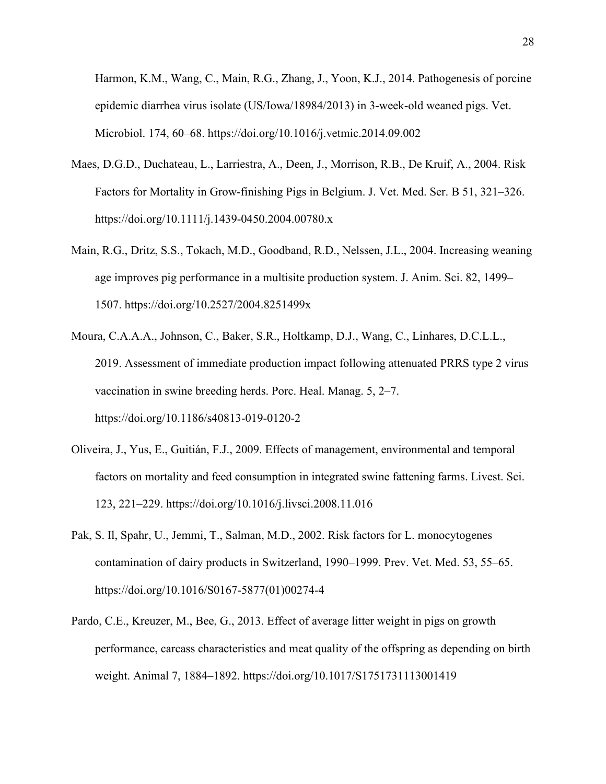Harmon, K.M., Wang, C., Main, R.G., Zhang, J., Yoon, K.J., 2014. Pathogenesis of porcine epidemic diarrhea virus isolate (US/Iowa/18984/2013) in 3-week-old weaned pigs. Vet. Microbiol. 174, 60–68. https://doi.org/10.1016/j.vetmic.2014.09.002

- Maes, D.G.D., Duchateau, L., Larriestra, A., Deen, J., Morrison, R.B., De Kruif, A., 2004. Risk Factors for Mortality in Grow-finishing Pigs in Belgium. J. Vet. Med. Ser. B 51, 321–326. https://doi.org/10.1111/j.1439-0450.2004.00780.x
- Main, R.G., Dritz, S.S., Tokach, M.D., Goodband, R.D., Nelssen, J.L., 2004. Increasing weaning age improves pig performance in a multisite production system. J. Anim. Sci. 82, 1499– 1507. https://doi.org/10.2527/2004.8251499x
- Moura, C.A.A.A., Johnson, C., Baker, S.R., Holtkamp, D.J., Wang, C., Linhares, D.C.L.L., 2019. Assessment of immediate production impact following attenuated PRRS type 2 virus vaccination in swine breeding herds. Porc. Heal. Manag. 5, 2–7. https://doi.org/10.1186/s40813-019-0120-2
- Oliveira, J., Yus, E., Guitián, F.J., 2009. Effects of management, environmental and temporal factors on mortality and feed consumption in integrated swine fattening farms. Livest. Sci. 123, 221–229. https://doi.org/10.1016/j.livsci.2008.11.016
- Pak, S. Il, Spahr, U., Jemmi, T., Salman, M.D., 2002. Risk factors for L. monocytogenes contamination of dairy products in Switzerland, 1990–1999. Prev. Vet. Med. 53, 55–65. https://doi.org/10.1016/S0167-5877(01)00274-4
- Pardo, C.E., Kreuzer, M., Bee, G., 2013. Effect of average litter weight in pigs on growth performance, carcass characteristics and meat quality of the offspring as depending on birth weight. Animal 7, 1884–1892. https://doi.org/10.1017/S1751731113001419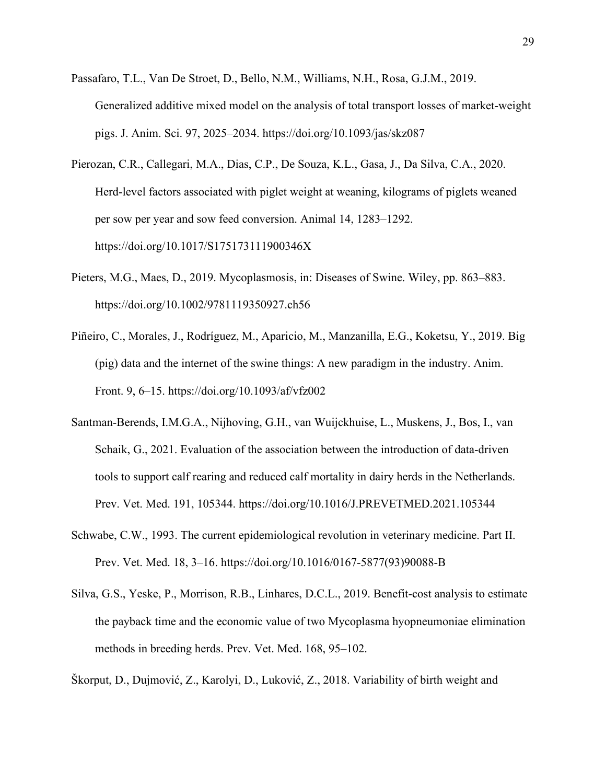- Passafaro, T.L., Van De Stroet, D., Bello, N.M., Williams, N.H., Rosa, G.J.M., 2019. Generalized additive mixed model on the analysis of total transport losses of market-weight pigs. J. Anim. Sci. 97, 2025–2034. https://doi.org/10.1093/jas/skz087
- Pierozan, C.R., Callegari, M.A., Dias, C.P., De Souza, K.L., Gasa, J., Da Silva, C.A., 2020. Herd-level factors associated with piglet weight at weaning, kilograms of piglets weaned per sow per year and sow feed conversion. Animal 14, 1283–1292. https://doi.org/10.1017/S175173111900346X
- Pieters, M.G., Maes, D., 2019. Mycoplasmosis, in: Diseases of Swine. Wiley, pp. 863–883. https://doi.org/10.1002/9781119350927.ch56
- Piñeiro, C., Morales, J., Rodríguez, M., Aparicio, M., Manzanilla, E.G., Koketsu, Y., 2019. Big (pig) data and the internet of the swine things: A new paradigm in the industry. Anim. Front. 9, 6–15. https://doi.org/10.1093/af/vfz002
- Santman-Berends, I.M.G.A., Nijhoving, G.H., van Wuijckhuise, L., Muskens, J., Bos, I., van Schaik, G., 2021. Evaluation of the association between the introduction of data-driven tools to support calf rearing and reduced calf mortality in dairy herds in the Netherlands. Prev. Vet. Med. 191, 105344. https://doi.org/10.1016/J.PREVETMED.2021.105344
- Schwabe, C.W., 1993. The current epidemiological revolution in veterinary medicine. Part II. Prev. Vet. Med. 18, 3–16. https://doi.org/10.1016/0167-5877(93)90088-B
- Silva, G.S., Yeske, P., Morrison, R.B., Linhares, D.C.L., 2019. Benefit-cost analysis to estimate the payback time and the economic value of two Mycoplasma hyopneumoniae elimination methods in breeding herds. Prev. Vet. Med. 168, 95–102.
- Škorput, D., Dujmović, Z., Karolyi, D., Luković, Z., 2018. Variability of birth weight and